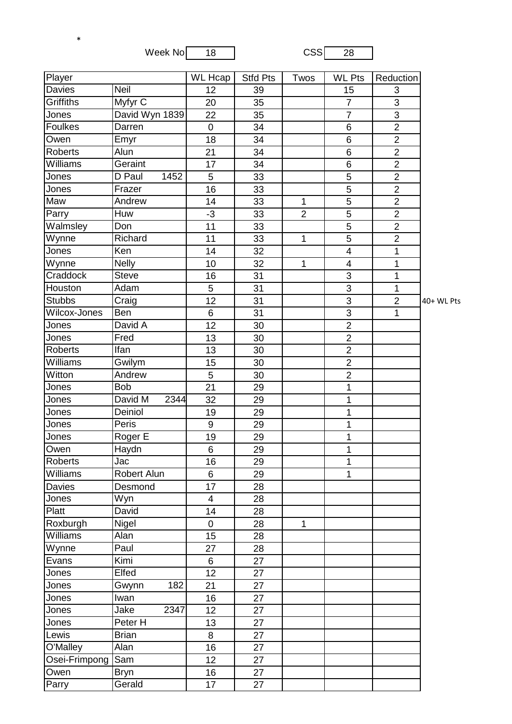Week  $No$   $\boxed{18}$  CSS  $\boxed{28}$ 

\*

| Player         |                 | WL Hcap        | <b>Stfd Pts</b> | Twos           | <b>WL Pts</b>  | Reduction      |            |
|----------------|-----------------|----------------|-----------------|----------------|----------------|----------------|------------|
| <b>Davies</b>  | <b>Neil</b>     | 12             | 39              |                | 15             | 3              |            |
| Griffiths      | Myfyr C         | 20             | 35              |                | $\overline{7}$ | 3              |            |
| Jones          | David Wyn 1839  | 22             | 35              |                | $\overline{7}$ | 3              |            |
| Foulkes        | Darren          | $\mathbf 0$    | 34              |                | 6              | $\overline{2}$ |            |
| Owen           | Emyr            | 18             | 34              |                | 6              | $\overline{2}$ |            |
| <b>Roberts</b> | Alun            | 21             | 34              |                | 6              | $\overline{2}$ |            |
| Williams       | Geraint         | 17             | 34              |                | 6              | $\overline{2}$ |            |
| Jones          | D Paul<br>1452  | 5              | 33              |                | 5              | $\overline{2}$ |            |
| Jones          | Frazer          | 16             | 33              |                | 5              | $\overline{2}$ |            |
| Maw            | Andrew          | 14             | 33              | 1              | 5              | $\overline{2}$ |            |
| Parry          | Huw             | $-3$           | 33              | $\overline{2}$ | $\overline{5}$ | $\overline{2}$ |            |
| Walmsley       | Don             | 11             | 33              |                | 5              | $\overline{2}$ |            |
| Wynne          | Richard         | 11             | 33              | 1              | 5              | $\overline{2}$ |            |
| Jones          | Ken             | 14             | 32              |                | $\overline{4}$ | 1              |            |
| Wynne          | <b>Nelly</b>    | 10             | 32              | 1              | 4              | 1              |            |
| Craddock       | <b>Steve</b>    | 16             | 31              |                | 3              | $\overline{1}$ |            |
| Houston        | Adam            | 5              | 31              |                | 3              | 1              |            |
| <b>Stubbs</b>  | Craig           | 12             | 31              |                | 3              | $\overline{2}$ | 40+ WL Pts |
| Wilcox-Jones   | Ben             | 6              | 31              |                | 3              | 1              |            |
| Jones          | David A         | 12             | 30              |                | $\overline{2}$ |                |            |
| Jones          | Fred            | 13             | 30              |                | $\overline{2}$ |                |            |
| Roberts        | Ifan            | 13             | 30              |                | $\overline{2}$ |                |            |
| Williams       | Gwilym          | 15             | 30              |                | $\overline{2}$ |                |            |
| Witton         | Andrew          | 5              | 30              |                | $\overline{2}$ |                |            |
| Jones          | <b>Bob</b>      | 21             | 29              |                | 1              |                |            |
| Jones          | David M<br>2344 | 32             | 29              |                | 1              |                |            |
| Jones          | Deiniol         | 19             | 29              |                | 1              |                |            |
| Jones          | Peris           | $9\,$          | 29              |                | 1              |                |            |
| Jones          | Roger E         | 19             | 29              |                | 1              |                |            |
| Owen           | Haydn           | 6              | 29              |                | 1              |                |            |
| Roberts        | Jac             | 16             | 29              |                | $\mathbf{1}$   |                |            |
| Williams       | Robert Alun     | 6              | 29              |                | $\mathbf{1}$   |                |            |
| <b>Davies</b>  | Desmond         | 17             | 28              |                |                |                |            |
| Jones          | Wyn             | $\overline{4}$ | 28              |                |                |                |            |
| Platt          | David           | 14             | 28              |                |                |                |            |
| Roxburgh       | Nigel           | 0              | 28              | $\mathbf{1}$   |                |                |            |
| Williams       | Alan            | 15             | 28              |                |                |                |            |
| Wynne          | Paul            | 27             | 28              |                |                |                |            |
| Evans          | Kimi            | 6              | 27              |                |                |                |            |
| Jones          | Elfed           | 12             | 27              |                |                |                |            |
| Jones          | 182<br>Gwynn    | 21             | 27              |                |                |                |            |
| Jones          | Iwan            | 16             | 27              |                |                |                |            |
| Jones          | Jake<br>2347    | 12             | 27              |                |                |                |            |
| Jones          | Peter H         | 13             | 27              |                |                |                |            |
| Lewis          | <b>Brian</b>    | 8              | 27              |                |                |                |            |
| O'Malley       | Alan            | 16             | 27              |                |                |                |            |
| Osei-Frimpong  | Sam             | 12             | 27              |                |                |                |            |
| Owen           | <b>Bryn</b>     | 16             | 27              |                |                |                |            |
| Parry          | Gerald          | 17             | 27              |                |                |                |            |
|                |                 |                |                 |                |                |                |            |